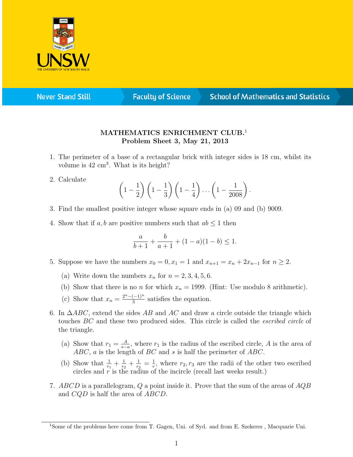

**Never Stand Still** 

**Faculty of Science** 

## **School of Mathematics and Statistics**

## MATHEMATICS ENRICHMENT CLUB.<sup>1</sup> Problem Sheet 3, May 21, 2013

- 1. The perimeter of a base of a rectangular brick with integer sides is 18 cm, whilst its volume is  $42 \text{ cm}^3$ . What is its height?
- 2. Calculate

$$
\left(1-\frac{1}{2}\right)\left(1-\frac{1}{3}\right)\left(1-\frac{1}{4}\right)\dots\left(1-\frac{1}{2008}\right).
$$

- 3. Find the smallest positive integer whose square ends in (a) 09 and (b) 9009.
- 4. Show that if a, b are positive numbers such that  $ab \leq 1$  then

$$
\frac{a}{b+1} + \frac{b}{a+1} + (1-a)(1-b) \le 1.
$$

- 5. Suppose we have the numbers  $x_0 = 0, x_1 = 1$  and  $x_{n+1} = x_n + 2x_{n-1}$  for  $n \ge 2$ .
	- (a) Write down the numbers  $x_n$  for  $n = 2, 3, 4, 5, 6$ .
	- (b) Show that there is no *n* for which  $x_n = 1999$ . (Hint: Use modulo 8 arithmetic).
	- (c) Show that  $x_n = \frac{2^n (-1)^n}{3}$  $\frac{(-1)^n}{3}$  satisfies the equation.
- 6. In  $\triangle ABC$ , extend the sides AB and AC and draw a circle outside the triangle which touches BC and these two produced sides. This circle is called the escribed circle of the triangle.
	- (a) Show that  $r_1 = \frac{A}{s}$  $\frac{A}{s-a}$ , where  $r_1$  is the radius of the escribed circle, A is the area of  $ABC$ , a is the length of  $BC$  and s is half the perimeter of  $ABC$ .
	- (b) Show that  $\frac{1}{r_1} + \frac{1}{r_2}$  $\frac{1}{r_2}+\frac{1}{r_3}$  $\frac{1}{r_3}=\frac{1}{r}$  $\frac{1}{r}$ , where  $r_2, r_3$  are the radii of the other two escribed circles and  $r$  is the radius of the incircle (recall last weeks result.)
- 7. ABCD is a parallelogram, Q a point inside it. Prove that the sum of the areas of  $AQB$ and CQD is half the area of ABCD.

<sup>1</sup>Some of the problems here come from T. Gagen, Uni. of Syd. and from E. Szekeres , Macquarie Uni.